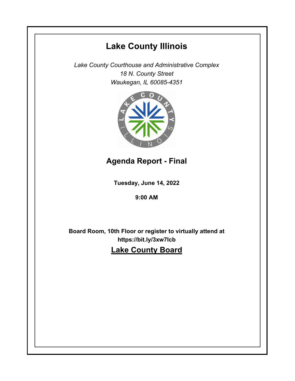# **Lake County Illinois**

*Lake County Courthouse and Administrative Complex 18 N. County Street Waukegan, IL 60085-4351*



**Agenda Report - Final**

**Tuesday, June 14, 2022**

**9:00 AM**

**Board Room, 10th Floor or register to virtually attend at https://bit.ly/3xw7Icb**

**Lake County Board**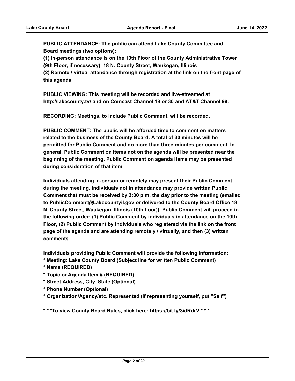**this agenda.** 

**PUBLIC ATTENDANCE: The public can attend Lake County Committee and Board meetings (two options):** 

**(1) In-person attendance is on the 10th Floor of the County Administrative Tower (9th Floor, if necessary), 18 N. County Street, Waukegan, Illinois (2) Remote / virtual attendance through registration at the link on the front page of** 

**PUBLIC VIEWING: This meeting will be recorded and live-streamed at http://lakecounty.tv/ and on Comcast Channel 18 or 30 and AT&T Channel 99.**

**RECORDING: Meetings, to include Public Comment, will be recorded.** 

**PUBLIC COMMENT: The public will be afforded time to comment on matters related to the business of the County Board. A total of 30 minutes will be permitted for Public Comment and no more than three minutes per comment. In general, Public Comment on items not on the agenda will be presented near the beginning of the meeting. Public Comment on agenda items may be presented during consideration of that item.** 

**Individuals attending in-person or remotely may present their Public Comment during the meeting. Individuals not in attendance may provide written Public Comment that must be received by 3:00 p.m. the day prior to the meeting (emailed to PublicComment@Lakecountyil.gov or delivered to the County Board Office 18 N. County Street, Waukegan, Illinois (10th floor)). Public Comment will proceed in the following order: (1) Public Comment by individuals in attendance on the 10th Floor, (2) Public Comment by individuals who registered via the link on the front page of the agenda and are attending remotely / virtually, and then (3) written comments.** 

**Individuals providing Public Comment will provide the following information:**

- **\* Meeting: Lake County Board (Subject line for written Public Comment)**
- **\* Name (REQUIRED)**
- **\* Topic or Agenda Item # (REQUIRED)**
- **\* Street Address, City, State (Optional)**
- **\* Phone Number (Optional)**
- **\* Organization/Agency/etc. Represented (If representing yourself, put "Self")**

**\* \* \*To view County Board Rules, click here: https://bit.ly/3idRdrV \* \* \***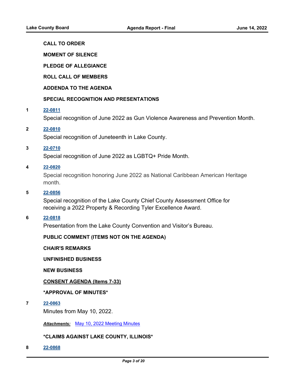# **CALL TO ORDER**

**MOMENT OF SILENCE**

**PLEDGE OF ALLEGIANCE**

**ROLL CALL OF MEMBERS**

**ADDENDA TO THE AGENDA**

## **SPECIAL RECOGNITION AND PRESENTATIONS**

#### **1 [22-0811](http://lakecounty.legistar.com/gateway.aspx?m=l&id=/matter.aspx?key=26597)**

Special recognition of June 2022 as Gun Violence Awareness and Prevention Month.

#### **2 [22-0810](http://lakecounty.legistar.com/gateway.aspx?m=l&id=/matter.aspx?key=26596)**

Special recognition of Juneteenth in Lake County.

## **3 [22-0710](http://lakecounty.legistar.com/gateway.aspx?m=l&id=/matter.aspx?key=26497)**

Special recognition of June 2022 as LGBTQ+ Pride Month.

# **4 [22-0820](http://lakecounty.legistar.com/gateway.aspx?m=l&id=/matter.aspx?key=26606)**

Special recognition honoring June 2022 as National Caribbean American Heritage month.

#### **5 [22-0856](http://lakecounty.legistar.com/gateway.aspx?m=l&id=/matter.aspx?key=26642)**

Special recognition of the Lake County Chief County Assessment Office for receiving a 2022 Property & Recording Tyler Excellence Award.

#### **6 [22-0818](http://lakecounty.legistar.com/gateway.aspx?m=l&id=/matter.aspx?key=26604)**

Presentation from the Lake County Convention and Visitor's Bureau.

#### **PUBLIC COMMENT (ITEMS NOT ON THE AGENDA)**

**CHAIR'S REMARKS**

#### **UNFINISHED BUSINESS**

**NEW BUSINESS**

#### **CONSENT AGENDA (Items 7-33)**

#### **\*APPROVAL OF MINUTES\***

**7 [22-0863](http://lakecounty.legistar.com/gateway.aspx?m=l&id=/matter.aspx?key=26649)**

Minutes from May 10, 2022.

*Attachments:* [May 10, 2022 Meeting Minutes](http://lakecounty.legistar.com/gateway.aspx?M=F&ID=86e45775-b55a-4ccc-89c0-58cfec6bba24.pdf)

## **\*CLAIMS AGAINST LAKE COUNTY, ILLINOIS\***

**8 [22-0868](http://lakecounty.legistar.com/gateway.aspx?m=l&id=/matter.aspx?key=26654)**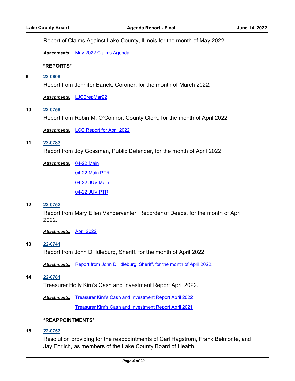Report of Claims Against Lake County, Illinois for the month of May 2022.

*Attachments:* [May 2022 Claims Agenda](http://lakecounty.legistar.com/gateway.aspx?M=F&ID=1912aab2-82ce-43b9-bded-7d45480de9b0.pdf)

#### **\*REPORTS\***

#### **9 [22-0809](http://lakecounty.legistar.com/gateway.aspx?m=l&id=/matter.aspx?key=26595)**

Report from Jennifer Banek, Coroner, for the month of March 2022.

*Attachments:* [LJCBrepMar22](http://lakecounty.legistar.com/gateway.aspx?M=F&ID=74dfb3f6-8e28-4252-b286-a3a16a0c5a0d.pdf)

#### **10 [22-0759](http://lakecounty.legistar.com/gateway.aspx?m=l&id=/matter.aspx?key=26546)**

Report from Robin M. O'Connor, County Clerk, for the month of April 2022.

*Attachments:* [LCC Report for April 2022](http://lakecounty.legistar.com/gateway.aspx?M=F&ID=6ee60fde-97a3-48d9-a717-3253fefc84b6.pdf)

## **11 [22-0783](http://lakecounty.legistar.com/gateway.aspx?m=l&id=/matter.aspx?key=26569)**

Report from Joy Gossman, Public Defender, for the month of April 2022.

[04-22 Main](http://lakecounty.legistar.com/gateway.aspx?M=F&ID=62839795-286b-4d99-9d3b-f2ec87244774.pdf) *Attachments:* [04-22 Main PTR](http://lakecounty.legistar.com/gateway.aspx?M=F&ID=21947b50-cd3e-407f-84e0-17f32734e131.pdf) [04-22 JUV Main](http://lakecounty.legistar.com/gateway.aspx?M=F&ID=631f15aa-2e18-4292-9ffc-6eba2663d028.pdf) [04-22 JUV PTR](http://lakecounty.legistar.com/gateway.aspx?M=F&ID=fe4a2fdb-2c7c-4f14-92bc-f5e653cf1e3c.pdf)

#### **12 [22-0752](http://lakecounty.legistar.com/gateway.aspx?m=l&id=/matter.aspx?key=26539)**

Report from Mary Ellen Vanderventer, Recorder of Deeds, for the month of April 2022.

*Attachments:* [April 2022](http://lakecounty.legistar.com/gateway.aspx?M=F&ID=2de56236-6b1e-4b88-a643-58a2850ea92d.pdf)

**13 [22-0741](http://lakecounty.legistar.com/gateway.aspx?m=l&id=/matter.aspx?key=26528)**

Report from John D. Idleburg, Sheriff, for the month of April 2022.

Attachments: [Report from John D. Idleburg, Sheriff, for the month of April 2022.](http://lakecounty.legistar.com/gateway.aspx?M=F&ID=cc29d510-66e0-4064-9e95-c765bac9061d.pdf)

**14 [22-0781](http://lakecounty.legistar.com/gateway.aspx?m=l&id=/matter.aspx?key=26567)**

Treasurer Holly Kim's Cash and Investment Report April 2022.

Attachments: [Treasurer Kim's Cash and Investment Report April 2022](http://lakecounty.legistar.com/gateway.aspx?M=F&ID=8acbe749-b8fd-4ab8-ae30-5184d21d8ec9.pdf)

[Treasurer Kim's Cash and Investment Report April 2021](http://lakecounty.legistar.com/gateway.aspx?M=F&ID=3e67d64a-3283-43e0-aa5f-3bc47e4d8b8f.pdf)

## **\*REAPPOINTMENTS\***

**15 [22-0757](http://lakecounty.legistar.com/gateway.aspx?m=l&id=/matter.aspx?key=26544)**

Resolution providing for the reappointments of Carl Hagstrom, Frank Belmonte, and Jay Ehrlich, as members of the Lake County Board of Health.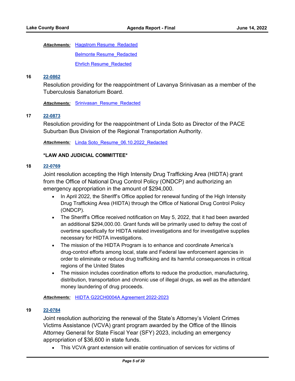Attachments: Hagstrom Resume Redacted

[Belmonte Resume\\_Redacted](http://lakecounty.legistar.com/gateway.aspx?M=F&ID=d46d8d8d-248c-47a9-99ec-7982dde2f0a6.pdf)

[Ehrlich Resume\\_Redacted](http://lakecounty.legistar.com/gateway.aspx?M=F&ID=d9e6d82a-2524-4d71-afb5-177a01cb32c3.pdf)

#### **16 [22-0862](http://lakecounty.legistar.com/gateway.aspx?m=l&id=/matter.aspx?key=26648)**

Resolution providing for the reappointment of Lavanya Srinivasan as a member of the Tuberculosis Sanatorium Board.

**Attachments:** Srinivasan Resume Redacted

#### **17 [22-0873](http://lakecounty.legistar.com/gateway.aspx?m=l&id=/matter.aspx?key=26659)**

Resolution providing for the reappointment of Linda Soto as Director of the PACE Suburban Bus Division of the Regional Transportation Authority.

Attachments: [Linda Soto\\_Resume\\_06.10.2022\\_Redacted](http://lakecounty.legistar.com/gateway.aspx?M=F&ID=ff2e6ea9-1acf-4aee-a20d-c49a74c86b6d.pdf)

#### **\*LAW AND JUDICIAL COMMITTEE\***

## **18 [22-0769](http://lakecounty.legistar.com/gateway.aspx?m=l&id=/matter.aspx?key=26555)**

Joint resolution accepting the High Intensity Drug Trafficking Area (HIDTA) grant from the Office of National Drug Control Policy (ONDCP) and authorizing an emergency appropriation in the amount of \$294,000.

- In April 2022, the Sheriff's Office applied for renewal funding of the High Intensity Drug Trafficking Area (HIDTA) through the Office of National Drug Control Policy (ONDCP).
- · The Sheriff's Office received notification on May 5, 2022, that it had been awarded an additional \$294,000.00. Grant funds will be primarily used to defray the cost of overtime specifically for HIDTA related investigations and for investigative supplies necessary for HIDTA investigations.
- · The mission of the HIDTA Program is to enhance and coordinate America's drug-control efforts among local, state and Federal law enforcement agencies in order to eliminate or reduce drug trafficking and its harmful consequences in critical regions of the United States
- · The mission includes coordination efforts to reduce the production, manufacturing, distribution, transportation and chronic use of illegal drugs, as well as the attendant money laundering of drug proceeds.

*Attachments:* [HIDTA G22CH0004A Agreement 2022-2023](http://lakecounty.legistar.com/gateway.aspx?M=F&ID=40473d18-00bf-4aa7-be45-51f73ebbf794.pdf)

## **19 [22-0784](http://lakecounty.legistar.com/gateway.aspx?m=l&id=/matter.aspx?key=26570)**

Joint resolution authorizing the renewal of the State's Attorney's Violent Crimes Victims Assistance (VCVA) grant program awarded by the Office of the Illinois Attorney General for State Fiscal Year (SFY) 2023, including an emergency appropriation of \$36,600 in state funds.

· This VCVA grant extension will enable continuation of services for victims of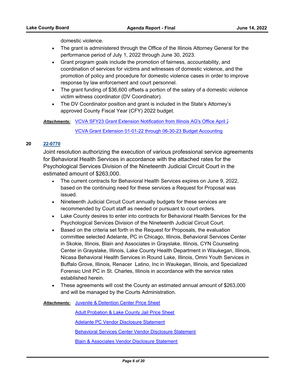domestic violence.

- · The grant is administered through the Office of the Illinois Attorney General for the performance period of July 1, 2022 through June 30, 2023.
- · Grant program goals include the promotion of fairness, accountability, and coordination of services for victims and witnesses of domestic violence, and the promotion of policy and procedure for domestic violence cases in order to improve response by law enforcement and court personnel.
- · The grant funding of \$36,600 offsets a portion of the salary of a domestic violence victim witness coordinator (DV Coordinator).
- · The DV Coordinator position and grant is included in the State's Attorney's approved County Fiscal Year (CFY) 2022 budget.

Attachments: [VCVA SFY23 Grant Extension Notification from Illinois AG's Office April 2](http://lakecounty.legistar.com/gateway.aspx?M=F&ID=daf3b65f-d8aa-4efc-9e16-cb4803c26f9c.pdf)

[VCVA Grant Extension 01-01-22 through 06-30-23 Budget Accounting](http://lakecounty.legistar.com/gateway.aspx?M=F&ID=b3de8444-b8d7-44c2-a9fa-bfa6124a6296.pdf)

#### **20 [22-0770](http://lakecounty.legistar.com/gateway.aspx?m=l&id=/matter.aspx?key=26556)**

Joint resolution authorizing the execution of various professional service agreements for Behavioral Health Services in accordance with the attached rates for the Psychological Services Division of the Nineteenth Judicial Circuit Court in the estimated amount of \$263,000.

- · The current contracts for Behavioral Health Services expires on June 9, 2022, based on the continuing need for these services a Request for Proposal was issued.
- · Nineteenth Judicial Circuit Court annually budgets for these services are recommended by Court staff as needed or pursuant to court orders.
- · Lake County desires to enter into contracts for Behavioral Health Services for the Psychological Services Division of the Nineteenth Judicial Circuit Court.
- · Based on the criteria set forth in the Request for Proposals, the evaluation committee selected Adelante, PC in Chicago, Illinois, Behavioral Services Center in Skokie, Illinois, Blain and Associates in Grayslake, Illinois, CYN Counseling Center in Grayslake, Illinois, Lake County Health Department in Waukegan, Illinois, Nicasa Behavioral Health Services in Round Lake, Illinois, Omni Youth Services in Buffalo Grove, Illinois, Renacer Latino, Inc in Waukegan, Illinois, and Specialized Forensic Unit PC in St. Charles, Illinois in accordance with the service rates established herein.
- · These agreements will cost the County an estimated annual amount of \$263,000 and will be managed by the Courts Administration.

Attachments: [Juvenile & Detention Center Price Sheet](http://lakecounty.legistar.com/gateway.aspx?M=F&ID=779b8eb6-a1e3-48b0-a057-44f755bec11b.pdf)

[Adult Probation & Lake County Jail Price Sheet](http://lakecounty.legistar.com/gateway.aspx?M=F&ID=a088ac3a-db23-4684-9ae4-1037f9110401.pdf) [Adelante PC Vendor Disclosure Statement](http://lakecounty.legistar.com/gateway.aspx?M=F&ID=d21c40f3-a3b4-4f81-9af1-5abb0337690c.pdf) [Behavioral Services Center Vendor Disclosure Statement](http://lakecounty.legistar.com/gateway.aspx?M=F&ID=78158cc0-15b5-49aa-95af-015d1aa845ab.pdf) [Blain & Associates Vendor Disclosure Statement](http://lakecounty.legistar.com/gateway.aspx?M=F&ID=916e5023-cfc7-4581-9bec-d5a0914812c3.pdf)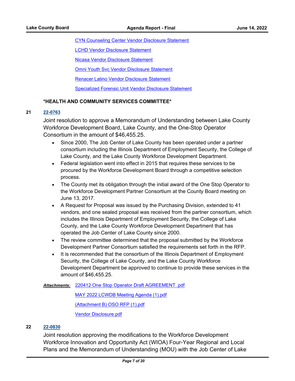[CYN Counseling Center Vendor Disclosure Statement](http://lakecounty.legistar.com/gateway.aspx?M=F&ID=83e4ec00-70a1-4fc2-b9e0-31eb9a0540c0.pdf)

[LCHD Vendor Disclosure Statement](http://lakecounty.legistar.com/gateway.aspx?M=F&ID=52a624bb-ffbb-4aa7-a3f7-6e98c5f6111a.pdf)

[Nicasa Vendor Disclosure Statement](http://lakecounty.legistar.com/gateway.aspx?M=F&ID=df20bc67-19e6-4738-b420-2eb0a795361b.pdf)

[Omni Youth Svc Vendor Disclosure Statement](http://lakecounty.legistar.com/gateway.aspx?M=F&ID=fd323ca5-b123-41b7-8790-87fe3b16fdb5.pdf)

[Renacer Latino Vendor Disclosure Statement](http://lakecounty.legistar.com/gateway.aspx?M=F&ID=fdd3cac1-b47a-4d33-8bb8-90765c8d6367.pdf)

[Specialized Forensic Unit Vendor Disclosure Statement](http://lakecounty.legistar.com/gateway.aspx?M=F&ID=e6a20793-d04b-4506-ad17-13c73f044375.pdf)

## **\*HEALTH AND COMMUNITY SERVICES COMMITTEE\***

#### **21 [22-0763](http://lakecounty.legistar.com/gateway.aspx?m=l&id=/matter.aspx?key=26549)**

Joint resolution to approve a Memorandum of Understanding between Lake County Workforce Development Board, Lake County, and the One-Stop Operator Consortium in the amount of \$46,455.25.

- Since 2000, The Job Center of Lake County has been operated under a partner consortium including the Illinois Department of Employment Security, the College of Lake County, and the Lake County Workforce Development Department.
- · Federal legislation went into effect in 2015 that requires these services to be procured by the Workforce Development Board through a competitive selection process.
- · The County met its obligation through the initial award of the One Stop Operator to the Workforce Development Partner Consortium at the County Board meeting on June 13, 2017.
- · A Request for Proposal was issued by the Purchasing Division, extended to 41 vendors, and one sealed proposal was received from the partner consortium, which includes the Illinois Department of Employment Security, the College of Lake County, and the Lake County Workforce Development Department that has operated the Job Center of Lake County since 2000.
- · The review committee determined that the proposal submitted by the Workforce Development Partner Consortium satisfied the requirements set forth in the RFP.
- · It is recommended that the consortium of the Illinois Department of Employment Security, the College of Lake County, and the Lake County Workforce Development Department be approved to continue to provide these services in the amount of \$46,455.25.

[220412 One Stop Operator Draft AGREEMENT .pdf](http://lakecounty.legistar.com/gateway.aspx?M=F&ID=d4872bfd-bad0-4c66-8fce-1e7ffba51da0.pdf) *Attachments:*

[MAY 2022 LCWDB Meeting Agenda \(1\).pdf](http://lakecounty.legistar.com/gateway.aspx?M=F&ID=6622b34c-f2e7-4182-b2ad-a19f8c1d80f8.pdf)

[\(Attachment B\) OSO RFP \(1\).pdf](http://lakecounty.legistar.com/gateway.aspx?M=F&ID=985f6b37-7409-45f6-b4c0-b9df26dc5d63.pdf)

[Vendor Disclosure.pdf](http://lakecounty.legistar.com/gateway.aspx?M=F&ID=14135314-baa1-49d2-a404-5eea9403a117.pdf)

#### **22 [22-0830](http://lakecounty.legistar.com/gateway.aspx?m=l&id=/matter.aspx?key=26615)**

Joint resolution approving the modifications to the Workforce Development Workforce Innovation and Opportunity Act (WIOA) Four-Year Regional and Local Plans and the Memorandum of Understanding (MOU) with the Job Center of Lake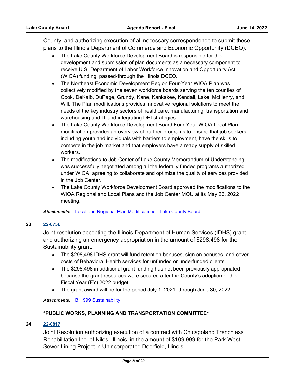County, and authorizing execution of all necessary correspondence to submit these plans to the Illinois Department of Commerce and Economic Opportunity (DCEO).

- · The Lake County Workforce Development Board is responsible for the development and submission of plan documents as a necessary component to receive U.S. Department of Labor Workforce Innovation and Opportunity Act (WIOA) funding, passed-through the Illinois DCEO.
- · The Northeast Economic Development Region Four-Year WIOA Plan was collectively modified by the seven workforce boards serving the ten counties of Cook, DeKalb, DuPage, Grundy, Kane, Kankakee, Kendall, Lake, McHenry, and Will. The Plan modifications provides innovative regional solutions to meet the needs of the key industry sectors of healthcare, manufacturing, transportation and warehousing and IT and integrating DEI strategies.
- · The Lake County Workforce Development Board Four-Year WIOA Local Plan modification provides an overview of partner programs to ensure that job seekers, including youth and individuals with barriers to employment, have the skills to compete in the job market and that employers have a ready supply of skilled workers.
- · The modifications to Job Center of Lake County Memorandum of Understanding was successfully negotiated among all the federally funded programs authorized under WIOA, agreeing to collaborate and optimize the quality of services provided in the Job Center.
- · The Lake County Workforce Development Board approved the modifications to the WIOA Regional and Local Plans and the Job Center MOU at its May 26, 2022 meeting.

# *Attachments:* [Local and Regional Plan Modifications - Lake County Board](http://lakecounty.legistar.com/gateway.aspx?M=F&ID=a762268c-3af6-428c-8e0a-ece347545988.pdf)

## **23 [22-0756](http://lakecounty.legistar.com/gateway.aspx?m=l&id=/matter.aspx?key=26543)**

Joint resolution accepting the Illinois Department of Human Services (IDHS) grant and authorizing an emergency appropriation in the amount of \$298,498 for the Sustainability grant.

- · The \$298,498 IDHS grant will fund retention bonuses, sign on bonuses, and cover costs of Behavioral Health services for unfunded or underfunded clients.
- · The \$298,498 in additional grant funding has not been previously appropriated because the grant resources were secured after the County's adoption of the Fiscal Year (FY) 2022 budget.
- · The grant award will be for the period July 1, 2021, through June 30, 2022.

## *Attachments:* [BH 999 Sustainability](http://lakecounty.legistar.com/gateway.aspx?M=F&ID=09dc0aa8-73b3-4b89-a606-bd36ec62e344.pdf)

# **\*PUBLIC WORKS, PLANNING AND TRANSPORTATION COMMITTEE\***

## **24 [22-0817](http://lakecounty.legistar.com/gateway.aspx?m=l&id=/matter.aspx?key=26603)**

Joint Resolution authorizing execution of a contract with Chicagoland Trenchless Rehabilitation Inc. of Niles, Illinois, in the amount of \$109,999 for the Park West Sewer Lining Project in Unincorporated Deerfield, Illinois.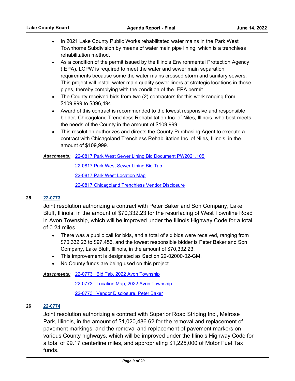- · In 2021 Lake County Public Works rehabilitated water mains in the Park West Townhome Subdivision by means of water main pipe lining, which is a trenchless rehabilitation method.
- · As a condition of the permit issued by the Illinois Environmental Protection Agency (IEPA), LCPW is required to meet the water and sewer main separation requirements because some the water mains crossed storm and sanitary sewers. This project will install water main quality sewer liners at strategic locations in those pipes, thereby complying with the condition of the IEPA permit.
- · The County received bids from two (2) contractors for this work ranging from \$109,999 to \$396,494.
- · Award of this contract is recommended to the lowest responsive and responsible bidder, Chicagoland Trenchless Rehabilitation Inc. of Niles, Illinois, who best meets the needs of the County in the amount of \$109,999.
- · This resolution authorizes and directs the County Purchasing Agent to execute a contract with Chicagoland Trenchless Rehabilitation Inc. of Niles, Illinois, in the amount of \$109,999.

# [22-0817 Park West Sewer Lining Bid Document PW2021.105](http://lakecounty.legistar.com/gateway.aspx?M=F&ID=f49541e2-9db6-4bbe-bc90-1249e815b731.pdf) *Attachments:*

[22-0817 Park West Sewer Lining Bid Tab](http://lakecounty.legistar.com/gateway.aspx?M=F&ID=c0a75fb6-045c-4e4c-91e5-b2e27800d26f.pdf) [22-0817 Park West Location Map](http://lakecounty.legistar.com/gateway.aspx?M=F&ID=d6746738-ca21-4982-a13e-78374ed0af22.pdf) [22-0817 Chicagoland Trenchless Vendor Disclosure](http://lakecounty.legistar.com/gateway.aspx?M=F&ID=ec47d11a-b6bc-4d8e-93fc-110d08492576.pdf)

## **25 [22-0773](http://lakecounty.legistar.com/gateway.aspx?m=l&id=/matter.aspx?key=26559)**

Joint resolution authorizing a contract with Peter Baker and Son Company, Lake Bluff, Illinois, in the amount of \$70,332.23 for the resurfacing of West Townline Road in Avon Township, which will be improved under the Illinois Highway Code for a total of 0.24 miles.

- · There was a public call for bids, and a total of six bids were received, ranging from \$70,332.23 to \$97,456, and the lowest responsible bidder is Peter Baker and Son Company, Lake Bluff, Illinois, in the amount of \$70,332.23.
- · This improvement is designated as Section 22-02000-02-GM.
- · No County funds are being used on this project.

[22-0773 Bid Tab, 2022 Avon Township](http://lakecounty.legistar.com/gateway.aspx?M=F&ID=bdee854e-1b8a-4297-a124-a1123e0af80e.pdf) *Attachments:*

[22-0773 Location Map, 2022 Avon Township](http://lakecounty.legistar.com/gateway.aspx?M=F&ID=25575343-06ac-43c4-b17a-ff0f8f07add0.pdf)

[22-0773 Vendor Disclosure, Peter Baker](http://lakecounty.legistar.com/gateway.aspx?M=F&ID=a1e5e1c5-308f-4561-8ebf-a447cdf686dd.pdf)

# **26 [22-0774](http://lakecounty.legistar.com/gateway.aspx?m=l&id=/matter.aspx?key=26560)**

Joint resolution authorizing a contract with Superior Road Striping Inc., Melrose Park, Illinois, in the amount of \$1,020,486.62 for the removal and replacement of pavement markings, and the removal and replacement of pavement markers on various County highways, which will be improved under the Illinois Highway Code for a total of 99.17 centerline miles, and appropriating \$1,225,000 of Motor Fuel Tax funds.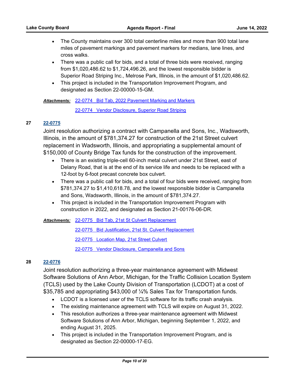- · The County maintains over 300 total centerline miles and more than 900 total lane miles of pavement markings and pavement markers for medians, lane lines, and cross walks.
- · There was a public call for bids, and a total of three bids were received, ranging from \$1,020,486.62 to \$1,724,496.26, and the lowest responsible bidder is Superior Road Striping Inc., Melrose Park, Illinois, in the amount of \$1,020,486.62.
- · This project is included in the Transportation Improvement Program, and designated as Section 22-00000-15-GM.

[22-0774 Bid Tab, 2022 Pavement Marking and Markers](http://lakecounty.legistar.com/gateway.aspx?M=F&ID=0a892c8b-e153-4c02-bddb-6a95c228fa1c.pdf) *Attachments:*

[22-0774 Vendor Disclosure, Superior Road Striping](http://lakecounty.legistar.com/gateway.aspx?M=F&ID=9f6b1870-76f0-456c-8141-691629fa20de.pdf)

# **27 [22-0775](http://lakecounty.legistar.com/gateway.aspx?m=l&id=/matter.aspx?key=26561)**

Joint resolution authorizing a contract with Campanella and Sons, Inc., Wadsworth, Illinois, in the amount of \$781,374.27 for construction of the 21st Street culvert replacement in Wadsworth, Illinois, and appropriating a supplemental amount of \$150,000 of County Bridge Tax funds for the construction of the improvement.

- · There is an existing triple-cell 60-inch metal culvert under 21st Street, east of Delany Road, that is at the end of its service life and needs to be replaced with a 12-foot by 6-foot precast concrete box culvert.
- · There was a public call for bids, and a total of four bids were received, ranging from \$781,374.27 to \$1,410,618.78, and the lowest responsible bidder is Campanella and Sons, Wadsworth, Illinois, in the amount of \$781,374.27.
- · This project is included in the Transportation Improvement Program with construction in 2022, and designated as Section 21-00176-06-DR.

[22-0775 Bid Tab, 21st St Culvert Replacement](http://lakecounty.legistar.com/gateway.aspx?M=F&ID=e5e09633-d342-4f0a-b62f-46f1c482225d.pdf) *Attachments:*

[22-0775 Bid Justification, 21st St. Culvert Replacement](http://lakecounty.legistar.com/gateway.aspx?M=F&ID=3da66f6f-bf8f-4d87-acce-3bcf0be52098.pdf)

[22-0775 Location Map, 21st Street Culvert](http://lakecounty.legistar.com/gateway.aspx?M=F&ID=942b31b2-10f5-415c-8afd-c998128d3fd5.pdf)

[22-0775 Vendor Disclosure, Campanella and Sons](http://lakecounty.legistar.com/gateway.aspx?M=F&ID=4b96a397-9f34-4787-9ed3-cca107573a50.pdf)

## **28 [22-0776](http://lakecounty.legistar.com/gateway.aspx?m=l&id=/matter.aspx?key=26562)**

Joint resolution authorizing a three-year maintenance agreement with Midwest Software Solutions of Ann Arbor, Michigan, for the Traffic Collision Location System (TCLS) used by the Lake County Division of Transportation (LCDOT) at a cost of \$35,785 and appropriating \$43,000 of ¼% Sales Tax for Transportation funds.

- · LCDOT is a licensed user of the TCLS software for its traffic crash analysis.
- · The existing maintenance agreement with TCLS will expire on August 31, 2022.
- · This resolution authorizes a three-year maintenance agreement with Midwest Software Solutions of Ann Arbor, Michigan, beginning September 1, 2022, and ending August 31, 2025.
- · This project is included in the Transportation Improvement Program, and is designated as Section 22-00000-17-EG.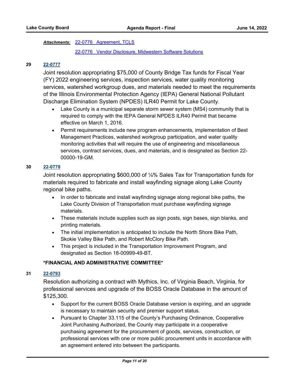## [22-0776 Agreement, TCLS](http://lakecounty.legistar.com/gateway.aspx?M=F&ID=a0bd79e0-e651-4223-8605-d099ef14a7b2.pdf) *Attachments:*

[22-0776 Vendor Disclosure, Midwestern Software Solutions](http://lakecounty.legistar.com/gateway.aspx?M=F&ID=03199f0d-68cf-4527-a774-fc58cd2620e5.pdf)

## **29 [22-0777](http://lakecounty.legistar.com/gateway.aspx?m=l&id=/matter.aspx?key=26563)**

Joint resolution appropriating \$75,000 of County Bridge Tax funds for Fiscal Year (FY) 2022 engineering services, inspection services, water quality monitoring services, watershed workgroup dues, and materials needed to meet the requirements of the Illinois Environmental Protection Agency (IEPA) General National Pollutant Discharge Elimination System (NPDES) ILR40 Permit for Lake County.

- Lake County is a municipal separate storm sewer system (MS4) community that is required to comply with the IEPA General NPDES ILR40 Permit that became effective on March 1, 2016.
- · Permit requirements include new program enhancements, implementation of Best Management Practices, watershed workgroup participation, and water quality monitoring activities that will require the use of engineering and miscellaneous services, contract services, dues, and materials, and is designated as Section 22- 00000-19-GM.

#### **30 [22-0778](http://lakecounty.legistar.com/gateway.aspx?m=l&id=/matter.aspx?key=26564)**

Joint resolution appropriating \$600,000 of ¼% Sales Tax for Transportation funds for materials required to fabricate and install wayfinding signage along Lake County regional bike paths.

- · In order to fabricate and install wayfinding signage along regional bike paths, the Lake County Division of Transportation must purchase wayfinding signage materials.
- · These materials include supplies such as sign posts, sign bases, sign blanks, and printing materials.
- · The initial implementation is anticipated to include the North Shore Bike Path, Skokie Valley Bike Path, and Robert McClory Bike Path.
- · This project is included in the Transportation Improvement Program, and designated as Section 18-00999-49-BT.

## **\*FINANCIAL AND ADMINISTRATIVE COMMITTEE\***

## **31 [22-0793](http://lakecounty.legistar.com/gateway.aspx?m=l&id=/matter.aspx?key=26579)**

Resolution authorizing a contract with Mythics, Inc. of Virginia Beach, Virginia, for professional services and upgrade of the BOSS Oracle Database in the amount of \$125,300.

- · Support for the current BOSS Oracle Database version is expiring, and an upgrade is necessary to maintain security and premier support status.
- · Pursuant to Chapter 33.115 of the County's Purchasing Ordinance, Cooperative Joint Purchasing Authorized, the County may participate in a cooperative purchasing agreement for the procurement of goods, services, construction, or professional services with one or more public procurement units in accordance with an agreement entered into between the participants.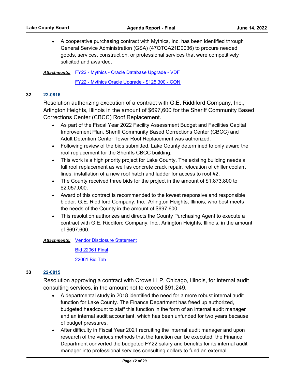· A cooperative purchasing contract with Mythics, Inc. has been identified through General Service Administration (GSA) (47QTCA21D0036) to procure needed goods, services, construction, or professional services that were competitively solicited and awarded.

[FY22 - Mythics - Oracle Database Upgrade - VDF](http://lakecounty.legistar.com/gateway.aspx?M=F&ID=dfdd30d1-cd8e-44c5-90e6-d060b6632601.pdf) *Attachments:*

[FY22 - Mythics Oracle Upgrade - \\$125,300 - CON](http://lakecounty.legistar.com/gateway.aspx?M=F&ID=4f64bc54-fccf-4c6a-8fad-310ac4940d09.pdf)

#### **32 [22-0816](http://lakecounty.legistar.com/gateway.aspx?m=l&id=/matter.aspx?key=26602)**

Resolution authorizing execution of a contract with G.E. Riddiford Company, Inc., Arlington Heights, Illinois in the amount of \$697,600 for the Sheriff Community Based Corrections Center (CBCC) Roof Replacement.

- · As part of the Fiscal Year 2022 Facility Assessment Budget and Facilities Capital Improvement Plan, Sheriff Community Based Corrections Center (CBCC) and Adult Detention Center Tower Roof Replacement was authorized.
- · Following review of the bids submitted, Lake County determined to only award the roof replacement for the Sheriffs CBCC building.
- · This work is a high priority project for Lake County. The existing building needs a full roof replacement as well as concrete crack repair, relocation of chiller coolant lines, installation of a new roof hatch and ladder for access to roof #2.
- · The County received three bids for the project in the amount of \$1,873,800 to \$2,057,000.
- · Award of this contract is recommended to the lowest responsive and responsible bidder, G.E. Riddiford Company, Inc., Arlington Heights, Illinois, who best meets the needs of the County in the amount of \$697,600.
- · This resolution authorizes and directs the County Purchasing Agent to execute a contract with G.E. Riddiford Company, Inc., Arlington Heights, Illinois, in the amount of \$697,600.

**Attachments: [Vendor Disclosure Statement](http://lakecounty.legistar.com/gateway.aspx?M=F&ID=9891baf8-be53-4f89-a613-56cc001508f1.pdf)** 

[Bid 22061 Final](http://lakecounty.legistar.com/gateway.aspx?M=F&ID=af0c7b33-7efb-43d6-a982-5c54e2fcf9e6.pdf)

[22061 Bid Tab](http://lakecounty.legistar.com/gateway.aspx?M=F&ID=4037ae4f-b376-42e4-9878-287d02f18d69.pdf)

## **33 [22-0815](http://lakecounty.legistar.com/gateway.aspx?m=l&id=/matter.aspx?key=26601)**

Resolution approving a contract with Crowe LLP, Chicago, Illinois, for internal audit consulting services, in the amount not to exceed \$91,249.

- · A departmental study in 2018 identified the need for a more robust internal audit function for Lake County. The Finance Department has freed up authorized, budgeted headcount to staff this function in the form of an internal audit manager and an internal audit accountant, which has been unfunded for two years because of budget pressures.
- · After difficulty in Fiscal Year 2021 recruiting the internal audit manager and upon research of the various methods that the function can be executed, the Finance Department converted the budgeted FY22 salary and benefits for its internal audit manager into professional services consulting dollars to fund an external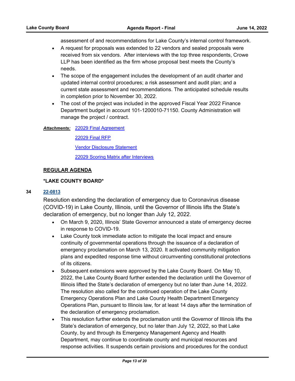assessment of and recommendations for Lake County's internal control framework.

- · A request for proposals was extended to 22 vendors and sealed proposals were received from six vendors. After interviews with the top three respondents, Crowe LLP has been identified as the firm whose proposal best meets the County's needs.
- · The scope of the engagement includes the development of an audit charter and updated internal control procedures; a risk assessment and audit plan; and a current state assessment and recommendations. The anticipated schedule results in completion prior to November 30, 2022.
- · The cost of the project was included in the approved Fiscal Year 2022 Finance Department budget in account 101-1200010-71150. County Administration will manage the project / contract.

#### [22029 Final Agreement](http://lakecounty.legistar.com/gateway.aspx?M=F&ID=51478583-7e69-4aea-8db7-d5b8cd2bf167.pdf) *Attachments:*

[22029 Final RFP](http://lakecounty.legistar.com/gateway.aspx?M=F&ID=6f738b79-584c-4c65-8d62-1526028d8b7d.pdf)

[Vendor Disclosure Statement](http://lakecounty.legistar.com/gateway.aspx?M=F&ID=a6e4ddcb-284b-46be-b531-d6ecdd5b3ecf.pdf)

[22029 Scoring Matrix after Interviews](http://lakecounty.legistar.com/gateway.aspx?M=F&ID=2c132533-e82a-4c5f-b8c5-d1127315303b.pdf)

## **REGULAR AGENDA**

## **\*LAKE COUNTY BOARD\***

#### **34 [22-0813](http://lakecounty.legistar.com/gateway.aspx?m=l&id=/matter.aspx?key=26599)**

Resolution extending the declaration of emergency due to Coronavirus disease (COVID-19) in Lake County, Illinois, until the Governor of Illinois lifts the State's declaration of emergency, but no longer than July 12, 2022.

- · On March 9, 2020, Illinois' State Governor announced a state of emergency decree in response to COVID-19.
- · Lake County took immediate action to mitigate the local impact and ensure continuity of governmental operations through the issuance of a declaration of emergency proclamation on March 13, 2020. It activated community mitigation plans and expedited response time without circumventing constitutional protections of its citizens.
- · Subsequent extensions were approved by the Lake County Board. On May 10, 2022, the Lake County Board further extended the declaration until the Governor of Illinois lifted the State's declaration of emergency but no later than June 14, 2022. The resolution also called for the continued operation of the Lake County Emergency Operations Plan and Lake County Health Department Emergency Operations Plan, pursuant to Illinois law, for at least 14 days after the termination of the declaration of emergency proclamation.
- · This resolution further extends the proclamation until the Governor of Illinois lifts the State's declaration of emergency, but no later than July 12, 2022, so that Lake County, by and through its Emergency Management Agency and Health Department, may continue to coordinate county and municipal resources and response activities. It suspends certain provisions and procedures for the conduct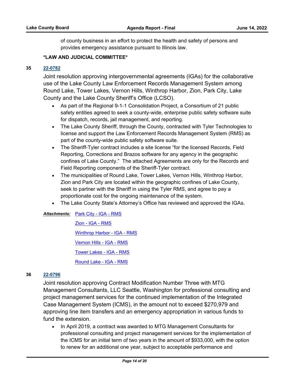of county business in an effort to protect the health and safety of persons and provides emergency assistance pursuant to Illinois law.

## **\*LAW AND JUDICIAL COMMITTEE\***

#### **35 [22-0782](http://lakecounty.legistar.com/gateway.aspx?m=l&id=/matter.aspx?key=26568)**

Joint resolution approving intergovernmental agreements (IGAs) for the collaborative use of the Lake County Law Enforcement Records Management System among Round Lake, Tower Lakes, Vernon Hills, Winthrop Harbor, Zion, Park City, Lake County and the Lake County Sheriff's Office (LCSO).

- · As part of the Regional 9-1-1 Consolidation Project, a Consortium of 21 public safety entities agreed to seek a county-wide, enterprise public safety software suite for dispatch, records, jail management, and reporting.
- · The Lake County Sheriff, through the County, contracted with Tyler Technologies to license and support the Law Enforcement Records Management System (RMS) as part of the county-wide public safety software suite.
- · The Sheriff-Tyler contract includes a site license "for the licensed Records, Field Reporting, Corrections and Brazos software for any agency in the geographic confines of Lake County." The attached Agreements are only for the Records and Field Reporting components of the Sheriff-Tyler contract.
- · The municipalities of Round Lake, Tower Lakes, Vernon Hills, Winthrop Harbor, Zion and Park City are located within the geographic confines of Lake County, seek to partner with the Sheriff in using the Tyler RMS, and agree to pay a proportionate cost for the ongoing maintenance of the system.
- · The Lake County State's Attorney's Office has reviewed and approved the IGAs.

## Attachments: [Park City - IGA - RMS](http://lakecounty.legistar.com/gateway.aspx?M=F&ID=e52c4527-84f5-4c9c-b490-905348d81d59.pdf)

[Zion - IGA - RMS](http://lakecounty.legistar.com/gateway.aspx?M=F&ID=03d866db-bade-4feb-a25e-a6976e6498fb.pdf) [Winthrop Harbor - IGA - RMS](http://lakecounty.legistar.com/gateway.aspx?M=F&ID=2b40e2e8-8f87-410b-8c31-b15f1bbedccc.pdf) [Vernon Hills - IGA - RMS](http://lakecounty.legistar.com/gateway.aspx?M=F&ID=a2082eac-54ed-45c5-9371-8a991578246c.pdf) [Tower Lakes - IGA - RMS](http://lakecounty.legistar.com/gateway.aspx?M=F&ID=28465147-ca64-4bdb-83e4-50c6667fc176.pdf) [Round Lake - IGA - RMS](http://lakecounty.legistar.com/gateway.aspx?M=F&ID=f42a8abc-7425-4200-8297-9f4a1674af8b.pdf)

#### **36 [22-0796](http://lakecounty.legistar.com/gateway.aspx?m=l&id=/matter.aspx?key=26582)**

Joint resolution approving Contract Modification Number Three with MTG Management Consultants, LLC Seattle, Washington for professional consulting and project management services for the continued implementation of the Integrated Case Management System (ICMS), in the amount not to exceed \$270,979 and approving line item transfers and an emergency appropriation in various funds to fund the extension.

· In April 2019, a contract was awarded to MTG Management Consultants for professional consulting and project management services for the implementation of the ICMS for an initial term of two years in the amount of \$933,000, with the option to renew for an additional one year, subject to acceptable performance and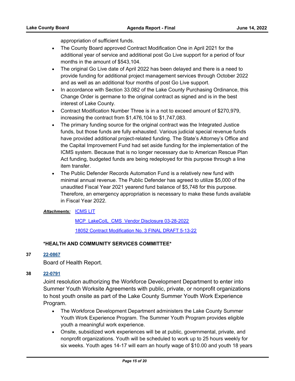appropriation of sufficient funds.

- · The County Board approved Contract Modification One in April 2021 for the additional year of service and additional post Go Live support for a period of four months in the amount of \$543,104.
- · The original Go Live date of April 2022 has been delayed and there is a need to provide funding for additional project management services through October 2022 and as well as an additional four months of post Go Live support.
- · In accordance with Section 33.082 of the Lake County Purchasing Ordinance, this Change Order is germane to the original contract as signed and is in the best interest of Lake County.
- · Contract Modification Number Three is in a not to exceed amount of \$270,979, increasing the contract from \$1,476,104 to \$1,747,083.
- · The primary funding source for the original contract was the Integrated Justice funds, but those funds are fully exhausted. Various judicial special revenue funds have provided additional project-related funding. The State's Attorney's Office and the Capital Improvement Fund had set aside funding for the implementation of the ICMS system. Because that is no longer necessary due to American Rescue Plan Act funding, budgeted funds are being redeployed for this purpose through a line item transfer.
- · The Public Defender Records Automation Fund is a relatively new fund with minimal annual revenue. The Public Defender has agreed to utilize \$5,000 of the unaudited Fiscal Year 2021 yearend fund balance of \$5,748 for this purpose. Therefore, an emergency appropriation is necessary to make these funds available in Fiscal Year 2022.

## <u>Attachments: [ICMS LIT](http://lakecounty.legistar.com/gateway.aspx?M=F&ID=2a1be11d-3f84-44ce-87e6-93efb577e41a.pdf)</u>

[MCP\\_LakeCoIL\\_CMS\\_Vendor Disclosure 03-28-2022](http://lakecounty.legistar.com/gateway.aspx?M=F&ID=73b48b2f-738d-4e9b-9fbb-65b92e789f92.pdf) [18052 Contract Modification No. 3 FINAL DRAFT 5-13-22](http://lakecounty.legistar.com/gateway.aspx?M=F&ID=a6f25521-7db4-470c-a4d1-1ded1f7f46fd.pdf)

# **\*HEALTH AND COMMUNITY SERVICES COMMITTEE\***

## **37 [22-0867](http://lakecounty.legistar.com/gateway.aspx?m=l&id=/matter.aspx?key=26653)**

Board of Health Report.

## **38 [22-0791](http://lakecounty.legistar.com/gateway.aspx?m=l&id=/matter.aspx?key=26577)**

Joint resolution authorizing the Workforce Development Department to enter into Summer Youth Worksite Agreements with public, private, or nonprofit organizations to host youth onsite as part of the Lake County Summer Youth Work Experience Program.

- · The Workforce Development Department administers the Lake County Summer Youth Work Experience Program. The Summer Youth Program provides eligible youth a meaningful work experience.
- · Onsite, subsidized work experiences will be at public, governmental, private, and nonprofit organizations. Youth will be scheduled to work up to 25 hours weekly for six weeks. Youth ages 14-17 will earn an hourly wage of \$10.00 and youth 18 years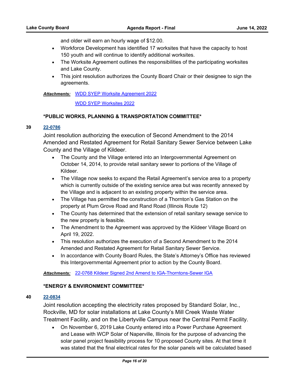and older will earn an hourly wage of \$12.00.

- · Workforce Development has identified 17 worksites that have the capacity to host 150 youth and will continue to identify additional worksites.
- · The Worksite Agreement outlines the responsibilities of the participating worksites and Lake County.
- · This joint resolution authorizes the County Board Chair or their designee to sign the agreements.

Attachments: [WDD SYEP Worksite Agreement 2022](http://lakecounty.legistar.com/gateway.aspx?M=F&ID=97e41162-73f6-4e9b-b4b7-7552ae60c02b.pdf)

[WDD SYEP Worksites 2022](http://lakecounty.legistar.com/gateway.aspx?M=F&ID=45ddabae-f981-4c41-ad30-a83ab328306a.pdf)

## **\*PUBLIC WORKS, PLANNING & TRANSPORTATION COMMITTEE\***

## **39 [22-0786](http://lakecounty.legistar.com/gateway.aspx?m=l&id=/matter.aspx?key=26572)**

Joint resolution authorizing the execution of Second Amendment to the 2014 Amended and Restated Agreement for Retail Sanitary Sewer Service between Lake County and the Village of Kildeer.

- · The County and the Village entered into an Intergovernmental Agreement on October 14, 2014, to provide retail sanitary sewer to portions of the Village of Kildeer.
- · The Village now seeks to expand the Retail Agreement's service area to a property which is currently outside of the existing service area but was recently annexed by the Village and is adjacent to an existing property within the service area.
- · The Village has permitted the construction of a Thornton's Gas Station on the property at Plum Grove Road and Rand Road (Illinois Route 12)
- · The County has determined that the extension of retail sanitary sewage service to the new property is feasible.
- · The Amendment to the Agreement was approved by the Kildeer Village Board on April 19, 2022.
- · This resolution authorizes the execution of a Second Amendment to the 2014 Amended and Restated Agreement for Retail Sanitary Sewer Service.
- · In accordance with County Board Rules, the State's Attorney's Office has reviewed this Intergovernmental Agreement prior to action by the County Board.

#### *Attachments:* [22-0768 Kildeer Signed 2nd Amend to IGA-Thorntons-Sewer IGA](http://lakecounty.legistar.com/gateway.aspx?M=F&ID=f520a3a3-bd75-473f-b799-8cc15a86565d.pdf)

## **\*ENERGY & ENVIRONMENT COMMITTEE\***

#### **40 [22-0834](http://lakecounty.legistar.com/gateway.aspx?m=l&id=/matter.aspx?key=26619)**

Joint resolution accepting the electricity rates proposed by Standard Solar, Inc., Rockville, MD for solar installations at Lake County's Mill Creek Waste Water Treatment Facility, and on the Libertyville Campus near the Central Permit Facility.

· On November 6, 2019 Lake County entered into a Power Purchase Agreement and Lease with WCP Solar of Naperville, Illinois for the purpose of advancing the solar panel project feasibility process for 10 proposed County sites. At that time it was stated that the final electrical rates for the solar panels will be calculated based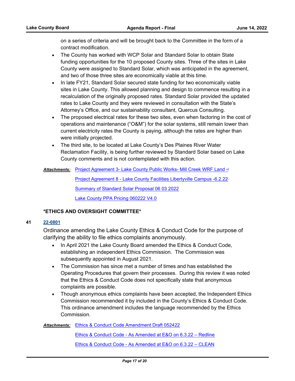on a series of criteria and will be brought back to the Committee in the form of a contract modification.

- · The County has worked with WCP Solar and Standard Solar to obtain State funding opportunities for the 10 proposed County sites. Three of the sites in Lake County were assigned to Standard Solar, which was anticipated in the agreement, and two of those three sites are economically viable at this time.
- · In late FY21, Standard Solar secured state funding for two economically viable sites in Lake County. This allowed planning and design to commence resulting in a recalculation of the originally proposed rates. Standard Solar provided the updated rates to Lake County and they were reviewed in consultation with the State's Attorney's Office, and our sustainability consultant, Quercus Consulting.
- · The proposed electrical rates for these two sites, even when factoring in the cost of operations and maintenance ("O&M") for the solar systems, still remain lower than current electricity rates the County is paying, although the rates are higher than were initially projected.
- · The third site, to be located at Lake County's Des Plaines River Water Reclamation Facility, is being further reviewed by Standard Solar based on Lake County comments and is not contemplated with this action.

## Attachments: [Project Agreement 3- Lake County Public Works- Mill Creek WRF Land -6](http://lakecounty.legistar.com/gateway.aspx?M=F&ID=fa68956d-5cca-44b5-8bf3-6c1a577a4287.pdf).

[Project Agreement 8 - Lake County Facilities Libertyville Campus -6.2.22-](http://lakecounty.legistar.com/gateway.aspx?M=F&ID=fc81ff4b-3f11-4c22-8f9a-d70ee7fd0733.pdf) [Summary of Standard Solar Proposal 06 03 2022](http://lakecounty.legistar.com/gateway.aspx?M=F&ID=9b056aa3-9daa-44bc-8cfd-bc43060702e7.pdf) [Lake County PPA Pricing 060222 V4.0](http://lakecounty.legistar.com/gateway.aspx?M=F&ID=f41c9ea2-8f17-4aae-9ee7-8f5615241d88.pdf)

## **\*ETHICS AND OVERSIGHT COMMITTEE\***

## **41 [22-0801](http://lakecounty.legistar.com/gateway.aspx?m=l&id=/matter.aspx?key=26587)**

Ordinance amending the Lake County Ethics & Conduct Code for the purpose of clarifying the ability to file ethics complaints anonymously.

- · In April 2021 the Lake County Board amended the Ethics & Conduct Code, establishing an independent Ethics Commission. The Commission was subsequently appointed in August 2021.
- · The Commission has since met a number of times and has established the Operating Procedures that govern their processes. During this review it was noted that the Ethics & Conduct Code does not specifically state that anonymous complaints are possible.
- · Though anonymous ethics complaints have been accepted, the Independent Ethics Commission recommended it by included in the County's Ethics & Conduct Code. This ordinance amendment includes the language recommended by the Ethics Commission.

Attachments: [Ethics & Conduct Code Amendment Draft 052422](http://lakecounty.legistar.com/gateway.aspx?M=F&ID=7744ab0b-d59e-4bda-ad68-47c3a8fddb4a.pdf)

[Ethics & Conduct Code - As Amended at E&O on 6.3.22 – Redline](http://lakecounty.legistar.com/gateway.aspx?M=F&ID=95925f8a-f4de-4f87-8f62-96dc959e274d.pdf)

[Ethics & Conduct Code - As Amended at E&O on 6.3.22 – CLEAN](http://lakecounty.legistar.com/gateway.aspx?M=F&ID=ba936d5b-6af7-40b0-8132-7e24abd0a23a.pdf)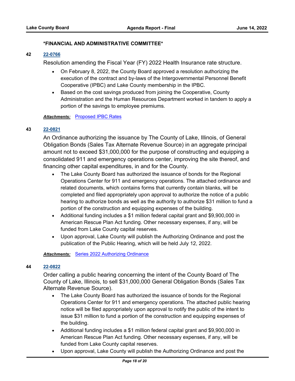## **\*FINANCIAL AND ADMINISTRATIVE COMMITTEE\***

#### **42 [22-0766](http://lakecounty.legistar.com/gateway.aspx?m=l&id=/matter.aspx?key=26552)**

Resolution amending the Fiscal Year (FY) 2022 Health Insurance rate structure.

- · On February 8, 2022, the County Board approved a resolution authorizing the execution of the contract and by-laws of the Intergovernmental Personnel Benefit Cooperative (IPBC) and Lake County membership in the IPBC.
- · Based on the cost savings produced from joining the Cooperative, County Administration and the Human Resources Department worked in tandem to apply a portion of the savings to employee premiums.

## **Attachments: [Proposed IPBC Rates](http://lakecounty.legistar.com/gateway.aspx?M=F&ID=a4c2419e-6971-4e3d-80cc-4606f7a7a970.pdf)**

## **43 [22-0821](http://lakecounty.legistar.com/gateway.aspx?m=l&id=/matter.aspx?key=26607)**

An Ordinance authorizing the issuance by The County of Lake, Illinois, of General Obligation Bonds (Sales Tax Alternate Revenue Source) in an aggregate principal amount not to exceed \$31,000,000 for the purpose of constructing and equipping a consolidated 911 and emergency operations center, improving the site thereof, and financing other capital expenditures, in and for the County.

- · The Lake County Board has authorized the issuance of bonds for the Regional Operations Center for 911 and emergency operations. The attached ordinance and related documents, which contains forms that currently contain blanks, will be completed and filed appropriately upon approval to authorize the notice of a public hearing to authorize bonds as well as the authority to authorize \$31 million to fund a portion of the construction and equipping expenses of the building.
- · Additional funding includes a \$1 million federal capital grant and \$9,900,000 in American Rescue Plan Act funding. Other necessary expenses, if any, will be funded from Lake County capital reserves.
- · Upon approval, Lake County will publish the Authorizing Ordinance and post the publication of the Public Hearing, which will be held July 12, 2022.

## *Attachments:* [Series 2022 Authorizing Ordinance](http://lakecounty.legistar.com/gateway.aspx?M=F&ID=e92277f1-c423-4737-8135-a63b4ccceaef.pdf)

## **44 [22-0822](http://lakecounty.legistar.com/gateway.aspx?m=l&id=/matter.aspx?key=26608)**

Order calling a public hearing concerning the intent of the County Board of The County of Lake, Illinois, to sell \$31,000,000 General Obligation Bonds (Sales Tax Alternate Revenue Source).

- · The Lake County Board has authorized the issuance of bonds for the Regional Operations Center for 911 and emergency operations. The attached public hearing notice will be filed appropriately upon approval to notify the public of the intent to issue \$31 million to fund a portion of the construction and equipping expenses of the building.
- · Additional funding includes a \$1 million federal capital grant and \$9,900,000 in American Rescue Plan Act funding. Other necessary expenses, if any, will be funded from Lake County capital reserves.
- · Upon approval, Lake County will publish the Authorizing Ordinance and post the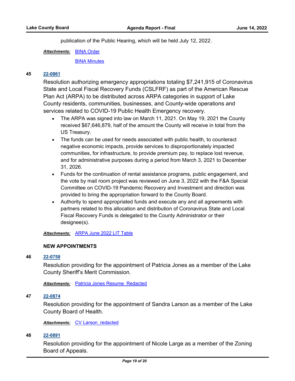publication of the Public Hearing, which will be held July 12, 2022.

[BINA Order](http://lakecounty.legistar.com/gateway.aspx?M=F&ID=7f8a51b4-7ddd-46c5-a61c-f97424685ada.pdf) *Attachments:*

[BINA Minutes](http://lakecounty.legistar.com/gateway.aspx?M=F&ID=0e4a0980-b60c-422b-8e60-0b6a9492bd4d.pdf)

# **45 [22-0861](http://lakecounty.legistar.com/gateway.aspx?m=l&id=/matter.aspx?key=26647)**

Resolution authorizing emergency appropriations totaling \$7,241,915 of Coronavirus State and Local Fiscal Recovery Funds (CSLFRF) as part of the American Rescue Plan Act (ARPA) to be distributed across ARPA categories in support of Lake County residents, communities, businesses, and County-wide operations and services related to COVID-19 Public Health Emergency recovery.

- · The ARPA was signed into law on March 11, 2021. On May 19, 2021 the County received \$67,646,879, half of the amount the County will receive in total from the US Treasury.
- · The funds can be used for needs associated with public health, to counteract negative economic impacts, provide services to disproportionately impacted communities, for infrastructure, to provide premium pay, to replace lost revenue, and for administrative purposes during a period from March 3, 2021 to December 31, 2026.
- · Funds for the continuation of rental assistance programs, public engagement, and the vote by mail room project was reviewed on June 3, 2022 with the F&A Special Committee on COVID-19 Pandemic Recovery and Investment and direction was provided to bring the appropriation forward to the County Board.
- · Authority to spend appropriated funds and execute any and all agreements with partners related to this allocation and distribution of Coronavirus State and Local Fiscal Recovery Funds is delegated to the County Administrator or their designee(s).

*Attachments:* [ARPA June 2022 LIT Table](http://lakecounty.legistar.com/gateway.aspx?M=F&ID=ab3bada8-e192-475a-a2fd-aa222bb96a93.pdf)

# **NEW APPOINTMENTS**

## **46 [22-0758](http://lakecounty.legistar.com/gateway.aspx?m=l&id=/matter.aspx?key=26545)**

Resolution providing for the appointment of Patricia Jones as a member of the Lake County Sheriff's Merit Commission.

**Attachments: Patricia Jones Resume Redacted** 

# **47 [22-0874](http://lakecounty.legistar.com/gateway.aspx?m=l&id=/matter.aspx?key=26660)**

Resolution providing for the appointment of Sandra Larson as a member of the Lake County Board of Health.

Attachments: [CV Larson\\_redacted](http://lakecounty.legistar.com/gateway.aspx?M=F&ID=74838a1f-79b9-4630-b6a4-742322b5b852.pdf)

## **48 [22-0891](http://lakecounty.legistar.com/gateway.aspx?m=l&id=/matter.aspx?key=26676)**

Resolution providing for the appointment of Nicole Large as a member of the Zoning Board of Appeals.